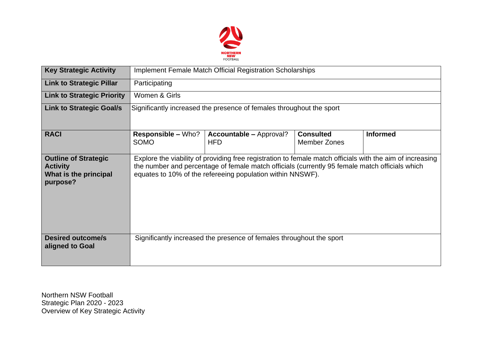

| <b>Key Strategic Activity</b>                                                       | Implement Female Match Official Registration Scholarships                                                                                                                                                                                                                 |                                              |                                         |                 |  |  |  |
|-------------------------------------------------------------------------------------|---------------------------------------------------------------------------------------------------------------------------------------------------------------------------------------------------------------------------------------------------------------------------|----------------------------------------------|-----------------------------------------|-----------------|--|--|--|
| <b>Link to Strategic Pillar</b>                                                     | Participating                                                                                                                                                                                                                                                             |                                              |                                         |                 |  |  |  |
| <b>Link to Strategic Priority</b>                                                   | Women & Girls                                                                                                                                                                                                                                                             |                                              |                                         |                 |  |  |  |
| <b>Link to Strategic Goal/s</b>                                                     | Significantly increased the presence of females throughout the sport                                                                                                                                                                                                      |                                              |                                         |                 |  |  |  |
| <b>RACI</b>                                                                         | <b>Responsible – Who?</b><br>SOMO                                                                                                                                                                                                                                         | <b>Accountable - Approval?</b><br><b>HFD</b> | <b>Consulted</b><br><b>Member Zones</b> | <b>Informed</b> |  |  |  |
| <b>Outline of Strategic</b><br><b>Activity</b><br>What is the principal<br>purpose? | Explore the viability of providing free registration to female match officials with the aim of increasing<br>the number and percentage of female match officials (currently 95 female match officials which<br>equates to 10% of the refereeing population within NNSWF). |                                              |                                         |                 |  |  |  |
| <b>Desired outcome/s</b><br>aligned to Goal                                         | Significantly increased the presence of females throughout the sport                                                                                                                                                                                                      |                                              |                                         |                 |  |  |  |

Northern NSW Football Strategic Plan 2020 - 2023 Overview of Key Strategic Activity